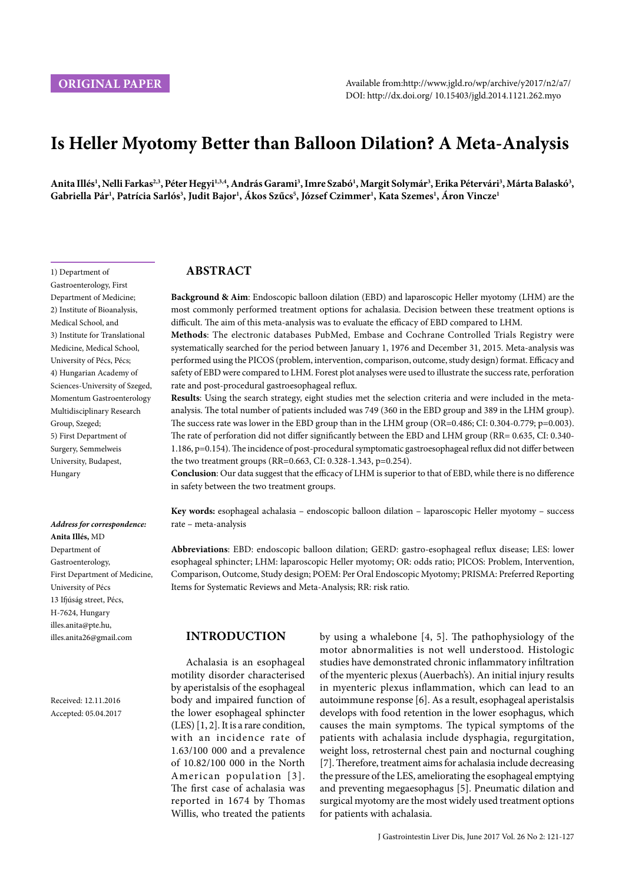1) Department of Gastroenterology, First Department of Medicine; 2) Institute of Bioanalysis, Medical School, and 3) Institute for Translational Medicine, Medical School, University of Pécs, Pécs; 4) Hungarian Academy of Sciences-University of Szeged, Momentum Gastroenterology Multidisciplinary Research

Group, Szeged; 5) First Department of Surgery, Semmelweis University, Budapest,

Hungary

# **Is Heller Myotomy Better than Balloon Dilation? A Meta-Analysis**

Anita Illés<sup>ı</sup>, Nelli Farkas<sup>2,3</sup>, Péter Hegyi<sup>1,3,4</sup>, András Garami<sup>3</sup>, Imre Szabó<sup>1</sup>, Margit Solymár<sup>3</sup>, Erika Pétervári<sup>3</sup>, Márta Balaskó<sup>3</sup>,  ${\bf G}$ abriella Pár<sup>ı</sup>, Patrícia Sarlós<sup>3</sup>, Judit Bajor<sup>ı</sup>, Ákos Szűcs<sup>5</sup>, József Czimmer<sup>ı</sup>, Kata Szemes<sup>ı</sup>, Áron Vincze<sup>ı</sup>

# **ABSTRACT**

**Background & Aim**: Endoscopic balloon dilation (EBD) and laparoscopic Heller myotomy (LHM) are the most commonly performed treatment options for achalasia. Decision between these treatment options is difficult. The aim of this meta-analysis was to evaluate the efficacy of EBD compared to LHM.

**Methods**: The electronic databases PubMed, Embase and Cochrane Controlled Trials Registry were systematically searched for the period between January 1, 1976 and December 31, 2015. Meta-analysis was performed using the PICOS (problem, intervention, comparison, outcome, study design) format. Efficacy and safety of EBD were compared to LHM. Forest plot analyses were used to illustrate the success rate, perforation rate and post-procedural gastroesophageal reflux.

**Results**: Using the search strategy, eight studies met the selection criteria and were included in the metaanalysis. The total number of patients included was 749 (360 in the EBD group and 389 in the LHM group). The success rate was lower in the EBD group than in the LHM group (OR=0.486; CI: 0.304-0.779; p=0.003). The rate of perforation did not differ significantly between the EBD and LHM group (RR= 0.635, CI: 0.340-1.186, p=0.154). The incidence of post-procedural symptomatic gastroesophageal reflux did not differ between the two treatment groups (RR=0.663, CI: 0.328-1.343, p=0.254).

**Conclusion**: Our data suggest that the efficacy of LHM is superior to that of EBD, while there is no difference in safety between the two treatment groups.

**Key words:** esophageal achalasia – endoscopic balloon dilation – laparoscopic Heller myotomy – success rate – meta-analysis

**Abbreviations**: EBD: endoscopic balloon dilation; GERD: gastro-esophageal reflux disease; LES: lower esophageal sphincter; LHM: laparoscopic Heller myotomy; OR: odds ratio; PICOS: Problem, Intervention, Comparison, Outcome, Study design; POEM: Per Oral Endoscopic Myotomy; PRISMA: Preferred Reporting Items for Systematic Reviews and Meta-Analysis; RR: risk ratio.

# **INTRODUCTION**

Achalasia is an esophageal motility disorder characterised by aperistalsis of the esophageal body and impaired function of the lower esophageal sphincter (LES) [1, 2]. It is a rare condition, with an incidence rate of 1.63/100 000 and a prevalence of 10.82/100 000 in the North American population [3]. The first case of achalasia was reported in 1674 by Thomas Willis, who treated the patients by using a whalebone [4, 5]. The pathophysiology of the motor abnormalities is not well understood. Histologic studies have demonstrated chronic inflammatory infiltration of the myenteric plexus (Auerbach's). An initial injury results in myenteric plexus inflammation, which can lead to an autoimmune response [6]. As a result, esophageal aperistalsis develops with food retention in the lower esophagus, which causes the main symptoms. The typical symptoms of the patients with achalasia include dysphagia, regurgitation, weight loss, retrosternal chest pain and nocturnal coughing [7]. Therefore, treatment aims for achalasia include decreasing the pressure of the LES, ameliorating the esophageal emptying and preventing megaesophagus [5]. Pneumatic dilation and surgical myotomy are the most widely used treatment options for patients with achalasia.

*Address for correspondence:*  **Anita Illés,** MD Department of Gastroenterology, First Department of Medicine, University of Pécs 13 Ifjúság street, Pécs, H-7624, Hungary illes.anita@pte.hu, illes.anita26@gmail.com

Received: 12.11.2016 Accepted: 05.04.2017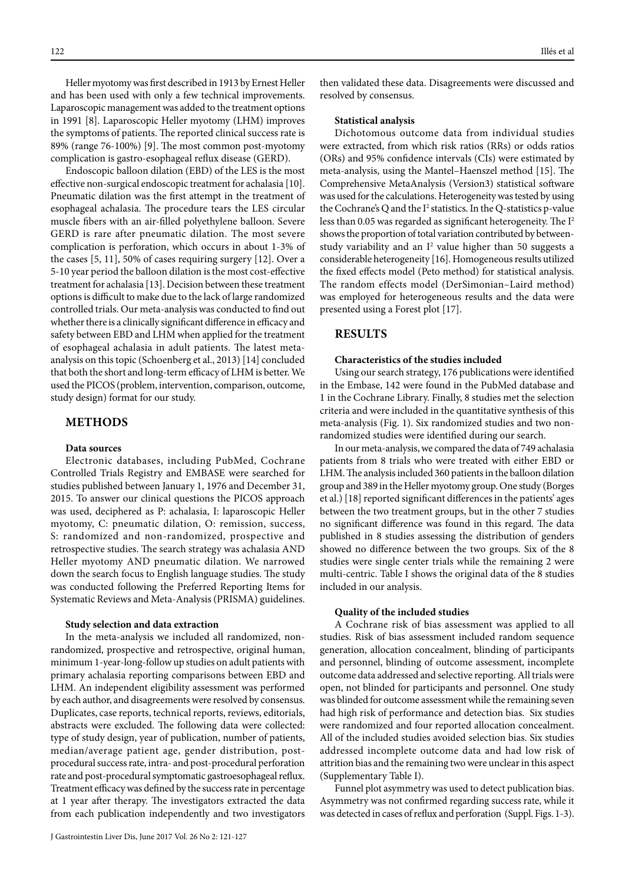Heller myotomy was first described in 1913 by Ernest Heller

and has been used with only a few technical improvements. Laparoscopic management was added to the treatment options in 1991 [8]. Laparoscopic Heller myotomy (LHM) improves the symptoms of patients. The reported clinical success rate is 89% (range 76-100%) [9]. The most common post-myotomy complication is gastro-esophageal reflux disease (GERD).

Endoscopic balloon dilation (EBD) of the LES is the most effective non-surgical endoscopic treatment for achalasia [10]. Pneumatic dilation was the first attempt in the treatment of esophageal achalasia. The procedure tears the LES circular muscle fibers with an air-filled polyethylene balloon. Severe GERD is rare after pneumatic dilation. The most severe complication is perforation, which occurs in about 1-3% of the cases [5, 11], 50% of cases requiring surgery [12]. Over a 5-10 year period the balloon dilation is the most cost-effective treatment for achalasia [13]. Decision between these treatment options is difficult to make due to the lack of large randomized controlled trials. Our meta-analysis was conducted to find out whether there is a clinically significant difference in efficacy and safety between EBD and LHM when applied for the treatment of esophageal achalasia in adult patients. The latest metaanalysis on this topic (Schoenberg et al., 2013) [14] concluded that both the short and long-term efficacy of LHM is better. We used the PICOS (problem, intervention, comparison, outcome, study design) format for our study.

## **METHODS**

## **Data sources**

Electronic databases, including PubMed, Cochrane Controlled Trials Registry and EMBASE were searched for studies published between January 1, 1976 and December 31, 2015. To answer our clinical questions the PICOS approach was used, deciphered as P: achalasia, I: laparoscopic Heller myotomy, C: pneumatic dilation, O: remission, success, S: randomized and non-randomized, prospective and retrospective studies. The search strategy was achalasia AND Heller myotomy AND pneumatic dilation. We narrowed down the search focus to English language studies. The study was conducted following the Preferred Reporting Items for Systematic Reviews and Meta-Analysis (PRISMA) guidelines.

## **Study selection and data extraction**

In the meta-analysis we included all randomized, nonrandomized, prospective and retrospective, original human, minimum 1-year-long-follow up studies on adult patients with primary achalasia reporting comparisons between EBD and LHM. An independent eligibility assessment was performed by each author, and disagreements were resolved by consensus. Duplicates, case reports, technical reports, reviews, editorials, abstracts were excluded. The following data were collected: type of study design, year of publication, number of patients, median/average patient age, gender distribution, postprocedural success rate, intra- and post-procedural perforation rate and post-procedural symptomatic gastroesophageal reflux. Treatment efficacy was defined by the success rate in percentage at 1 year after therapy. The investigators extracted the data from each publication independently and two investigators

then validated these data. Disagreements were discussed and resolved by consensus.

#### **Statistical analysis**

Dichotomous outcome data from individual studies were extracted, from which risk ratios (RRs) or odds ratios (ORs) and 95% confidence intervals (CIs) were estimated by meta-analysis, using the Mantel–Haenszel method [15]. The Comprehensive MetaAnalysis (Version3) statistical software was used for the calculations. Heterogeneity was tested by using the Cochrane's Q and the  $I^2$  statistics. In the Q-statistics p-value less than 0.05 was regarded as significant heterogeneity. The I2 shows the proportion of total variation contributed by betweenstudy variability and an  $I<sup>2</sup>$  value higher than 50 suggests a considerable heterogeneity [16]. Homogeneous results utilized the fixed effects model (Peto method) for statistical analysis. The random effects model (DerSimonian–Laird method) was employed for heterogeneous results and the data were presented using a Forest plot [17].

## **RESULTS**

### **Characteristics of the studies included**

Using our search strategy, 176 publications were identified in the Embase, 142 were found in the PubMed database and 1 in the Cochrane Library. Finally, 8 studies met the selection criteria and were included in the quantitative synthesis of this meta-analysis (Fig. 1). Six randomized studies and two nonrandomized studies were identified during our search.

In our meta-analysis, we compared the data of 749 achalasia patients from 8 trials who were treated with either EBD or LHM. The analysis included 360 patients in the balloon dilation group and 389 in the Heller myotomy group. One study (Borges et al.) [18] reported significant differences in the patients' ages between the two treatment groups, but in the other 7 studies no significant difference was found in this regard. The data published in 8 studies assessing the distribution of genders showed no difference between the two groups. Six of the 8 studies were single center trials while the remaining 2 were multi-centric. Table I shows the original data of the 8 studies included in our analysis.

## **Quality of the included studies**

A Cochrane risk of bias assessment was applied to all studies. Risk of bias assessment included random sequence generation, allocation concealment, blinding of participants and personnel, blinding of outcome assessment, incomplete outcome data addressed and selective reporting. All trials were open, not blinded for participants and personnel. One study was blinded for outcome assessment while the remaining seven had high risk of performance and detection bias. Six studies were randomized and four reported allocation concealment. All of the included studies avoided selection bias. Six studies addressed incomplete outcome data and had low risk of attrition bias and the remaining two were unclear in this aspect (Supplementary Table I).

Funnel plot asymmetry was used to detect publication bias. Asymmetry was not confirmed regarding success rate, while it was detected in cases of reflux and perforation (Suppl. Figs. 1-3).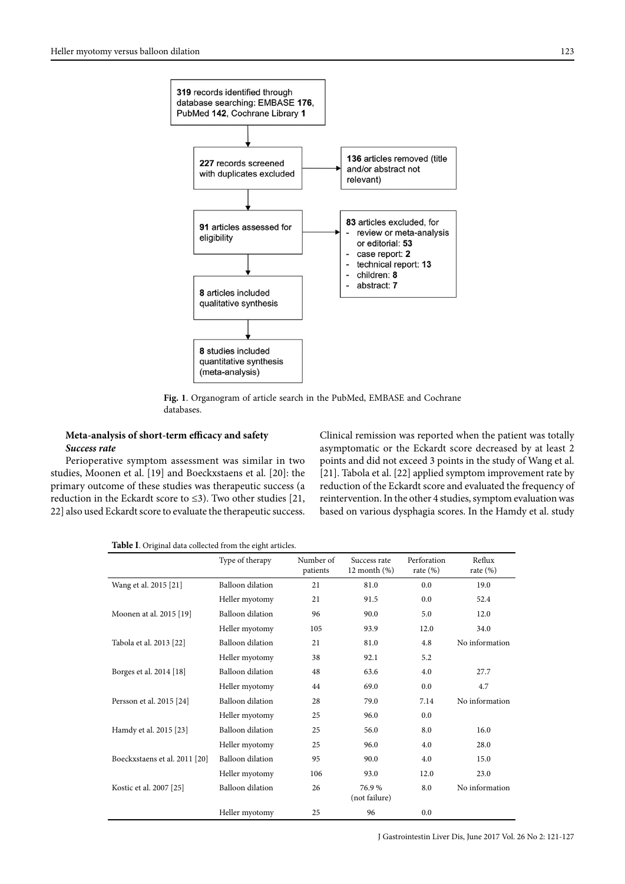

**Fig. 1**. Organogram of article search in the PubMed, EMBASE and Cochrane databases.

# **Meta-analysis of short-term efficacy and safety** *Success rate*

Perioperative symptom assessment was similar in two studies, Moonen et al. [19] and Boeckxstaens et al. [20]: the primary outcome of these studies was therapeutic success (a reduction in the Eckardt score to ≤3). Two other studies [21, 22] also used Eckardt score to evaluate the therapeutic success. Clinical remission was reported when the patient was totally asymptomatic or the Eckardt score decreased by at least 2 points and did not exceed 3 points in the study of Wang et al. [21]. Tabola et al. [22] applied symptom improvement rate by reduction of the Eckardt score and evaluated the frequency of reintervention. In the other 4 studies, symptom evaluation was based on various dysphagia scores. In the Hamdy et al. study

|                               | Type of therapy         | Number of<br>patients | Success rate<br>$12$ month $(\%)$ | Perforation<br>rate $(\%)$ | Reflux<br>rate $(\%)$ |
|-------------------------------|-------------------------|-----------------------|-----------------------------------|----------------------------|-----------------------|
| Wang et al. 2015 [21]         | Balloon dilation        | 21                    | 81.0                              | 0.0                        | 19.0                  |
|                               | Heller myotomy          | 21                    | 91.5                              | 0.0                        | 52.4                  |
| Moonen at al. 2015 [19]       | <b>Balloon</b> dilation | 96                    | 90.0                              | 5.0                        | 12.0                  |
|                               | Heller myotomy          | 105                   | 93.9                              | 12.0                       | 34.0                  |
| Tabola et al. 2013 [22]       | <b>Balloon</b> dilation | 21                    | 81.0                              | 4.8                        | No information        |
|                               | Heller myotomy          | 38                    | 92.1                              | 5.2                        |                       |
| Borges et al. 2014 [18]       | Balloon dilation        | 48                    | 63.6                              | 4.0                        | 27.7                  |
|                               | Heller myotomy          | 44                    | 69.0                              | 0.0                        | 4.7                   |
| Persson et al. 2015 [24]      | <b>Balloon</b> dilation | 28                    | 79.0                              | 7.14                       | No information        |
|                               | Heller myotomy          | 25                    | 96.0                              | 0.0                        |                       |
| Hamdy et al. 2015 [23]        | <b>Balloon</b> dilation | 25                    | 56.0                              | 8.0                        | 16.0                  |
|                               | Heller myotomy          | 25                    | 96.0                              | 4.0                        | 28.0                  |
| Boeckxstaens et al. 2011 [20] | Balloon dilation        | 95                    | 90.0                              | 4.0                        | 15.0                  |
|                               | Heller myotomy          | 106                   | 93.0                              | 12.0                       | 23.0                  |
| Kostic et al. 2007 [25]       | <b>Balloon</b> dilation | 26                    | 76.9%<br>(not failure)            | 8.0                        | No information        |
|                               | Heller myotomy          | 25                    | 96                                | 0.0                        |                       |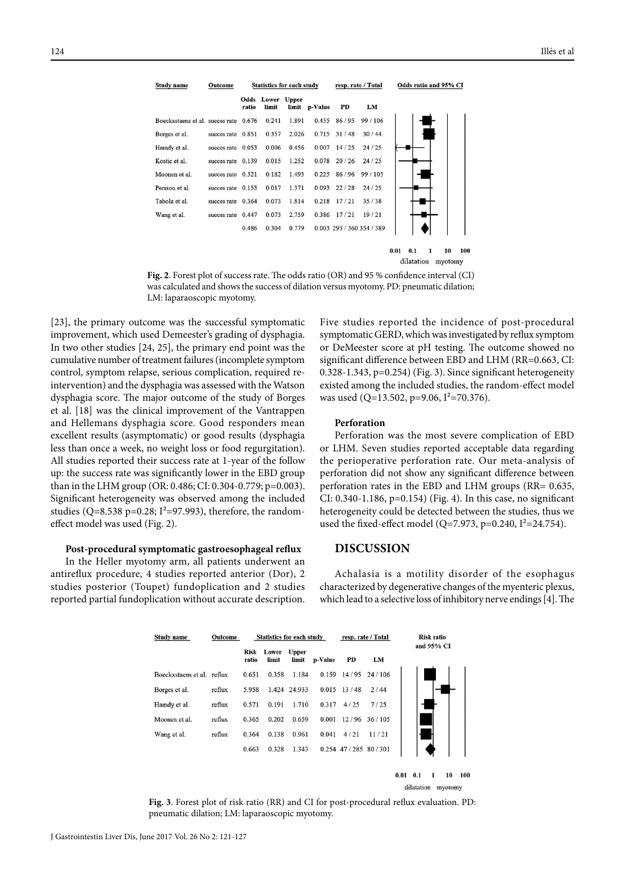| <b>Study name</b>               | Outcome     | <b>Statistics for each study</b> |                                  |       | resp. rate / Total |       | Odds ratio and 95% CI     |  |
|---------------------------------|-------------|----------------------------------|----------------------------------|-------|--------------------|-------|---------------------------|--|
|                                 |             | ratio                            | <b>Odds</b> Lower Upper<br>limit | limit | p-Value            | PD    | LM                        |  |
| Boeckxstaens et al. succes rate |             | 0.676                            | 0.241                            | 1.891 | 0.455              | 86/95 | 99/106                    |  |
| Borges et al.                   | succes rate | 0.851                            | 0.357                            | 2.026 | 0.715              | 31/48 | 30/44                     |  |
| Hamdy et al.                    | succes rate | 0.053                            | 0.006                            | 0.456 | 0.007              | 14/25 | 24/25                     |  |
| Kostic et al.                   | succes rate | 0.139                            | 0.015                            | 1.252 | 0.078              | 20/26 | 24/25                     |  |
| Moonen et al.                   | succes rate | 0.521                            | 0.182                            | 1.493 | 0.225              | 86/96 | 99/105                    |  |
| Persson et al.                  | succes rate | 0.153                            | 0.017                            | 1.371 | 0.093              | 22/28 | 24/25                     |  |
| Tabola et al.                   | succes rate | 0.364                            | 0.073                            | 1.814 | 0.218              | 17/21 | 35/38                     |  |
| Wang et al.                     | succes rate | 0.447                            | 0.073                            | 2.759 | 0.386              | 17/21 | 19/21                     |  |
|                                 |             | 0.486                            | 0.304                            | 0.779 |                    |       | 0.003 293 / 360 354 / 389 |  |
|                                 |             |                                  |                                  |       |                    |       |                           |  |

dilatation myotomy **Fig. 2**. Forest plot of success rate. The odds ratio (OR) and 95 % confidence interval (CI) was calculated and shows the success of dilation versus myotomy. PD: pneumatic dilation; LM: laparaoscopic myotomy.

[23], the primary outcome was the successful symptomatic improvement, which used Demeester's grading of dysphagia. In two other studies [24, 25], the primary end point was the cumulative number of treatment failures (incomplete symptom control, symptom relapse, serious complication, required reintervention) and the dysphagia was assessed with the Watson dysphagia score. The major outcome of the study of Borges et al. [18] was the clinical improvement of the Vantrappen and Hellemans dysphagia score. Good responders mean excellent results (asymptomatic) or good results (dysphagia less than once a week, no weight loss or food regurgitation). All studies reported their success rate at 1-year of the follow up: the success rate was significantly lower in the EBD group than in the LHM group (OR: 0.486; CI: 0.304-0.779; p=0.003). Significant heterogeneity was observed among the included studies (Q=8.538 p=0.28;  $I^2$ =97.993), therefore, the randomeffect model was used (Fig. 2).

#### **Post-procedural symptomatic gastroesophageal reflux**

In the Heller myotomy arm, all patients underwent an antireflux procedure, 4 studies reported anterior (Dor), 2 studies posterior (Toupet) fundoplication and 2 studies reported partial fundoplication without accurate description.

Five studies reported the incidence of post-procedural symptomatic GERD, which was investigated by reflux symptom or DeMeester score at pH testing. The outcome showed no significant difference between EBD and LHM (RR=0.663, CI: 0.328-1.343, p=0.254) (Fig. 3). Since significant heterogeneity existed among the included studies, the random-effect model was used (Q=13.502, p=9.06, I<sup>2</sup>=70.376).

 $10$ 100

 $0.01$  0.1 1

#### **Perforation**

Perforation was the most severe complication of EBD or LHM. Seven studies reported acceptable data regarding the perioperative perforation rate. Our meta-analysis of perforation did not show any significant difference between perforation rates in the EBD and LHM groups (RR= 0.635, CI: 0.340-1.186, p=0.154) (Fig. 4). In this case, no significant heterogeneity could be detected between the studies, thus we used the fixed-effect model (Q=7.973, p=0.240,  $I^2$ =24.754).

## **DISCUSSION**

Achalasia is a motility disorder of the esophagus characterized by degenerative changes of the myenteric plexus, which lead to a selective loss of inhibitory nerve endings [4]. The



**Fig. 3**. Forest plot of risk ratio (RR) and CI for post-procedural reflux evaluation. PD: pneumatic dilation; LM: laparaoscopic myotomy.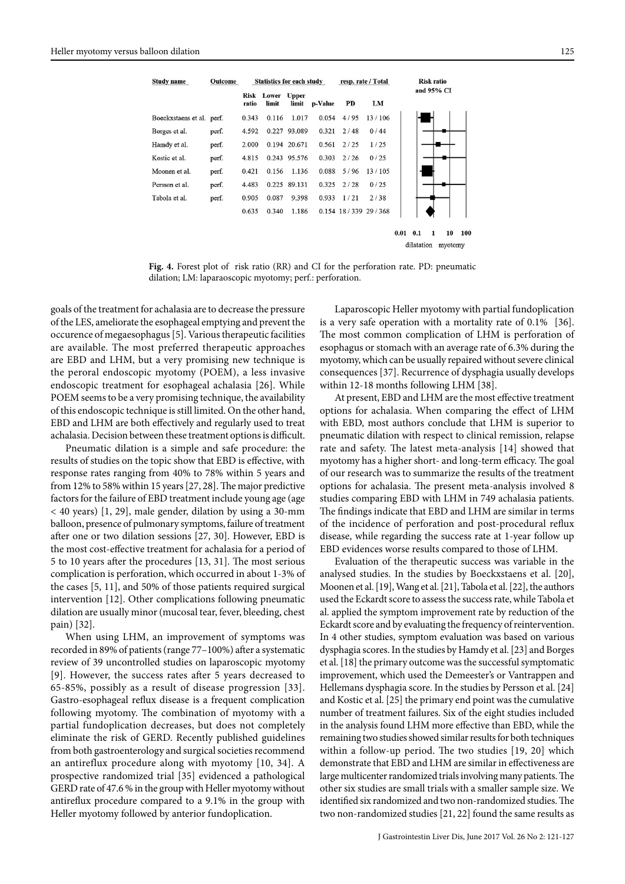| <b>Study name</b>   | Outcome | <b>Statistics for each study</b> |                |                       | resp. rate / Total |      | Risk ratio                |            |
|---------------------|---------|----------------------------------|----------------|-----------------------|--------------------|------|---------------------------|------------|
|                     |         | Risk<br>ratio                    | Lower<br>limit | <b>Upper</b><br>limit | p-Value            | PD   | LM                        | and 95% CI |
| Boeckxstaens et al. | perf.   | 0.343                            | 0.116          | 1.017                 | 0.054              | 4/95 | 13/106                    |            |
| Borges et al.       | perf.   | 4.592                            | 0.227          | 93.089                | 0.321              | 2/48 | 0/44                      |            |
| Hamdy et al.        | perf.   | 2.000                            |                | 0.194 20.671          | 0.561              | 2/25 | 1/25                      |            |
| Kostic et al.       | perf.   | 4.815                            | 0.243          | 95.576                | 0.303              | 2/26 | 0/25                      |            |
| Moonen et al.       | perf.   | 0.421                            | 0.156          | 1.136                 | 0.088              | 5/96 | 13/105                    |            |
| Persson et al.      | perf.   | 4.483                            | 0.225          | 89.131                | 0.325              | 2/28 | 0/25                      |            |
| Tabola et al.       | perf.   | 0.905                            | 0.087          | 9.398                 | 0.933              | 1/21 | 2/38                      |            |
|                     |         | 0.635                            | 0.340          | 1.186                 |                    |      | $0.154$ 18 / 339 29 / 368 |            |

dilatation myotomy

 $0.01$   $0.1$   $1$   $10$   $100$ 

**Fig. 4.** Forest plot of risk ratio (RR) and CI for the perforation rate. PD: pneumatic dilation; LM: laparaoscopic myotomy; perf.: perforation.

goals of the treatment for achalasia are to decrease the pressure of the LES, ameliorate the esophageal emptying and prevent the occurence of megaesophagus [5]. Various therapeutic facilities are available. The most preferred therapeutic approaches are EBD and LHM, but a very promising new technique is the peroral endoscopic myotomy (POEM), a less invasive endoscopic treatment for esophageal achalasia [26]. While POEM seems to be a very promising technique, the availability of this endoscopic technique is still limited. On the other hand, EBD and LHM are both effectively and regularly used to treat achalasia. Decision between these treatment options is difficult.

Pneumatic dilation is a simple and safe procedure: the results of studies on the topic show that EBD is effective, with response rates ranging from 40% to 78% within 5 years and from 12% to 58% within 15 years [27, 28]. The major predictive factors for the failure of EBD treatment include young age (age < 40 years) [1, 29], male gender, dilation by using a 30-mm balloon, presence of pulmonary symptoms, failure of treatment after one or two dilation sessions [27, 30]. However, EBD is the most cost-effective treatment for achalasia for a period of 5 to 10 years after the procedures [13, 31]. The most serious complication is perforation, which occurred in about 1-3% of the cases [5, 11], and 50% of those patients required surgical intervention [12]. Other complications following pneumatic dilation are usually minor (mucosal tear, fever, bleeding, chest pain) [32].

When using LHM, an improvement of symptoms was recorded in 89% of patients (range 77–100%) after a systematic review of 39 uncontrolled studies on laparoscopic myotomy [9]. However, the success rates after 5 years decreased to 65-85%, possibly as a result of disease progression [33]. Gastro-esophageal reflux disease is a frequent complication following myotomy. The combination of myotomy with a partial fundoplication decreases, but does not completely eliminate the risk of GERD. Recently published guidelines from both gastroenterology and surgical societies recommend an antireflux procedure along with myotomy [10, 34]. A prospective randomized trial [35] evidenced a pathological GERD rate of 47.6 % in the group with Heller myotomy without antireflux procedure compared to a 9.1% in the group with Heller myotomy followed by anterior fundoplication.

Laparoscopic Heller myotomy with partial fundoplication is a very safe operation with a mortality rate of 0.1% [36]. The most common complication of LHM is perforation of esophagus or stomach with an average rate of 6.3% during the myotomy, which can be usually repaired without severe clinical consequences [37]. Recurrence of dysphagia usually develops within 12-18 months following LHM [38].

At present, EBD and LHM are the most effective treatment options for achalasia. When comparing the effect of LHM with EBD, most authors conclude that LHM is superior to pneumatic dilation with respect to clinical remission, relapse rate and safety. The latest meta-analysis [14] showed that myotomy has a higher short- and long-term efficacy. The goal of our research was to summarize the results of the treatment options for achalasia. The present meta-analysis involved 8 studies comparing EBD with LHM in 749 achalasia patients. The findings indicate that EBD and LHM are similar in terms of the incidence of perforation and post-procedural reflux disease, while regarding the success rate at 1-year follow up EBD evidences worse results compared to those of LHM.

Evaluation of the therapeutic success was variable in the analysed studies. In the studies by Boeckxstaens et al. [20], Moonen et al. [19], Wang et al. [21], Tabola et al. [22], the authors used the Eckardt score to assess the success rate, while Tabola et al. applied the symptom improvement rate by reduction of the Eckardt score and by evaluating the frequency of reintervention. In 4 other studies, symptom evaluation was based on various dysphagia scores. In the studies by Hamdy et al. [23] and Borges et al. [18] the primary outcome was the successful symptomatic improvement, which used the Demeester's or Vantrappen and Hellemans dysphagia score. In the studies by Persson et al. [24] and Kostic et al. [25] the primary end point was the cumulative number of treatment failures. Six of the eight studies included in the analysis found LHM more effective than EBD, while the remaining two studies showed similar results for both techniques within a follow-up period. The two studies [19, 20] which demonstrate that EBD and LHM are similar in effectiveness are large multicenter randomized trials involving many patients. The other six studies are small trials with a smaller sample size. We identified six randomized and two non-randomized studies. The two non-randomized studies [21, 22] found the same results as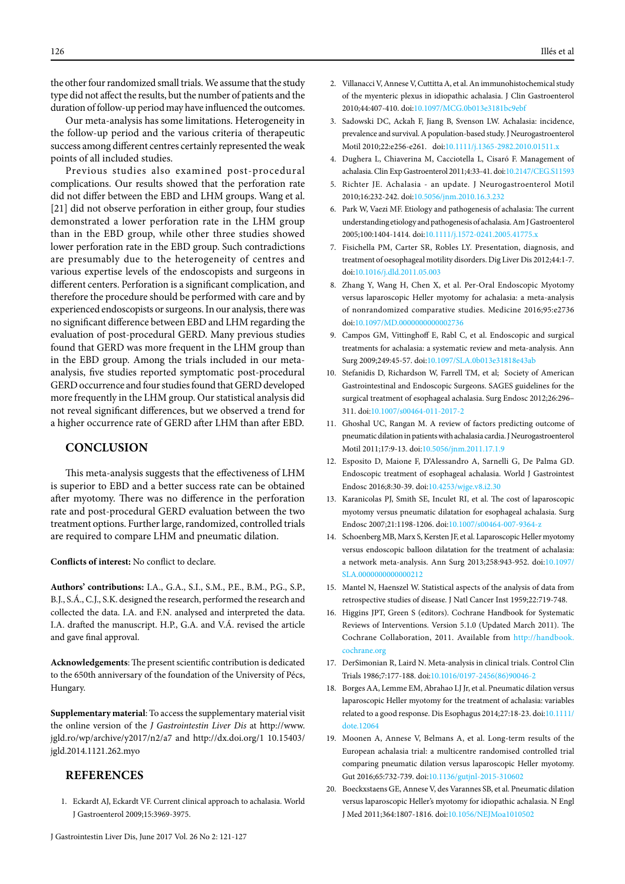the other four randomized small trials. We assume that the study type did not affect the results, but the number of patients and the duration of follow-up period may have influenced the outcomes.

Our meta-analysis has some limitations. Heterogeneity in the follow-up period and the various criteria of therapeutic success among different centres certainly represented the weak points of all included studies.

Previous studies also examined post-procedural complications. Our results showed that the perforation rate did not differ between the EBD and LHM groups. Wang et al. [21] did not observe perforation in either group, four studies demonstrated a lower perforation rate in the LHM group than in the EBD group, while other three studies showed lower perforation rate in the EBD group. Such contradictions are presumably due to the heterogeneity of centres and various expertise levels of the endoscopists and surgeons in different centers. Perforation is a significant complication, and therefore the procedure should be performed with care and by experienced endoscopists or surgeons. In our analysis, there was no significant difference between EBD and LHM regarding the evaluation of post-procedural GERD. Many previous studies found that GERD was more frequent in the LHM group than in the EBD group. Among the trials included in our metaanalysis, five studies reported symptomatic post-procedural GERD occurrence and four studies found that GERD developed more frequently in the LHM group. Our statistical analysis did not reveal significant differences, but we observed a trend for a higher occurrence rate of GERD after LHM than after EBD.

## **CONCLUSION**

This meta-analysis suggests that the effectiveness of LHM is superior to EBD and a better success rate can be obtained after myotomy. There was no difference in the perforation rate and post-procedural GERD evaluation between the two treatment options. Further large, randomized, controlled trials are required to compare LHM and pneumatic dilation.

**Conflicts of interest:** No conflict to declare.

**Authors' contributions:** I.A., G.A., S.I., S.M., P.E., B.M., P.G., S.P., B.J., S.Á., C.J., S.K. designed the research, performed the research and collected the data. I.A. and F.N. analysed and interpreted the data. I.A. drafted the manuscript. H.P., G.A. and V.Á. revised the article and gave final approval.

**Acknowledgements**: The present scientific contribution is dedicated to the 650th anniversary of the foundation of the University of Pécs, Hungary.

**Supplementary material**: To access the supplementary material visit the online version of the *J Gastrointestin Liver Dis* at http://www. jgld.ro/wp/archive/y2017/n2/a7 and http://dx.doi.org/1 10.15403/ jgld.2014.1121.262.myo

# **REFERENCES**

1. Eckardt AJ, Eckardt VF. Current clinical approach to achalasia. World J Gastroenterol 2009;15:3969-3975.

- 2. Villanacci V, Annese V, Cuttitta A, et al. An immunohistochemical study of the myenteric plexus in idiopathic achalasia. J Clin Gastroenterol 2010;44:407-410. doi[:10.1097/MCG.0b013e3181bc9ebf](http://dx.doi.org/10.1097/MCG.0b013e3181bc9ebf)
- 3. Sadowski DC, Ackah F, Jiang B, Svenson LW. Achalasia: incidence, prevalence and survival. A population-based study. J Neurogastroenterol Motil 2010;22:e256-e261. doi[:10.1111/j.1365-2982.2010.01511.x](http://dx.doi.org/10.1111/j.1365-2982.2010.01511.x)
- 4. Dughera L, Chiaverina M, Cacciotella L, Cisaró F. Management of achalasia. Clin Exp Gastroenterol 2011;4:33-41. doi:[10.2147/CEG.S11593](http://dx.doi.org/10.2147/CEG.S11593)
- 5. Richter JE. Achalasia an update. J Neurogastroenterol Motil 2010;16:232-242. doi[:10.5056/jnm.2010.16.3.232](http://dx.doi.org/10.5056/jnm.2010.16.3.232)
- 6. Park W, Vaezi MF. Etiology and pathogenesis of achalasia: The current understanding etiology and pathogenesis of achalasia. Am J Gastroenterol 2005;100:1404-1414. doi[:10.1111/j.1572-0241.2005.41775.x](http://dx.doi.org/10.1111/j.1572-0241.2005.41775.x)
- 7. Fisichella PM, Carter SR, Robles LY. Presentation, diagnosis, and treatment of oesophageal motility disorders. Dig Liver Dis 2012;44:1-7. doi[:10.1016/j.dld.2011.05.003](http://dx.doi.org/10.1016/j.dld.2011.05.003)
- 8. Zhang Y, Wang H, Chen X, et al. Per-Oral Endoscopic Myotomy versus laparoscopic Heller myotomy for achalasia: a meta-analysis of nonrandomized comparative studies. Medicine 2016;95:e2736 doi[:10.1097/MD.0000000000002736](http://dx.doi.org/10.1097/MD.0000000000002736)
- 9. Campos GM, Vittinghoff E, Rabl C, et al. Endoscopic and surgical treatments for achalasia: a systematic review and meta-analysis. Ann Surg 2009;249:45-57. doi:[10.1097/SLA.0b013e31818e43ab](http://dx.doi.org/10.1097/SLA.0b013e31818e43ab)
- 10. Stefanidis D, Richardson W, Farrell TM, et al; Society of American Gastrointestinal and Endoscopic Surgeons. SAGES guidelines for the surgical treatment of esophageal achalasia. Surg Endosc 2012;26:296– 311. doi[:10.1007/s00464-011-2017-2](http://dx.doi.org/10.1007/s00464-011-2017-2)
- 11. Ghoshal UC, Rangan M. A review of factors predicting outcome of pneumatic dilation in patients with achalasia cardia. J Neurogastroenterol Motil 2011;17:9-13. doi[:10.5056/jnm.2011.17.1.9](http://dx.doi.org/10.5056/jnm.2011.17.1.9)
- 12. Esposito D, Maione F, D'Alessandro A, Sarnelli G, De Palma GD. Endoscopic treatment of esophageal achalasia. World J Gastrointest Endosc 2016;8:30-39. doi[:10.4253/wjge.v8.i2.30](http://dx.doi.org/10.4253/wjge.v8.i2.30)
- 13. Karanicolas PJ, Smith SE, Inculet RI, et al. The cost of laparoscopic myotomy versus pneumatic dilatation for esophageal achalasia. Surg Endosc 2007;21:1198-1206. doi[:10.1007/s00464-007-9364-z](http://dx.doi.org/10.1007/s00464-007-9364-z)
- 14. Schoenberg MB, Marx S, Kersten JF, et al. Laparoscopic Heller myotomy versus endoscopic balloon dilatation for the treatment of achalasia: a network meta-analysis. Ann Surg 2013;258:943-952. doi[:10.1097/](http://dx.doi.org/10.1097/SLA.0000000000000212) [SLA.0000000000000212](http://dx.doi.org/10.1097/SLA.0000000000000212)
- 15. Mantel N, Haenszel W. Statistical aspects of the analysis of data from retrospective studies of disease. J Natl Cancer Inst 1959;22:719-748.
- 16. Higgins JPT, Green S (editors). Cochrane Handbook for Systematic Reviews of Interventions. Version 5.1.0 (Updated March 2011). The Cochrane Collaboration, 2011. Available from [http://handbook.](http://handbook.cochrane.org) [cochrane.org](http://handbook.cochrane.org)
- 17. DerSimonian R, Laird N. Meta-analysis in clinical trials. Control Clin Trials 1986;7:177-188. doi[:10.1016/0197-2456\(86\)90046-2](http://dx.doi.org/10.1016/0197-2456(86)90046-2)
- 18. Borges AA, Lemme EM, Abrahao LJ Jr, et al. Pneumatic dilation versus laparoscopic Heller myotomy for the treatment of achalasia: variables related to a good response. Dis Esophagus 2014;27:18-23. doi:[10.1111/](http://dx.doi.org/10.1111/dote.12064) [dote.12064](http://dx.doi.org/10.1111/dote.12064)
- 19. Moonen A, Annese V, Belmans A, et al. Long-term results of the European achalasia trial: a multicentre randomised controlled trial comparing pneumatic dilation versus laparoscopic Heller myotomy. Gut 2016;65:732-739. doi[:10.1136/gutjnl-2015-310602](http://dx.doi.org/10.1136/gutjnl-2015-310602)
- 20. Boeckxstaens GE, Annese V, des Varannes SB, et al. Pneumatic dilation versus laparoscopic Heller's myotomy for idiopathic achalasia. N Engl J Med 2011;364:1807-1816. doi:[10.1056/NEJMoa1010502](http://dx.doi.org/10.1056/NEJMoa1010502)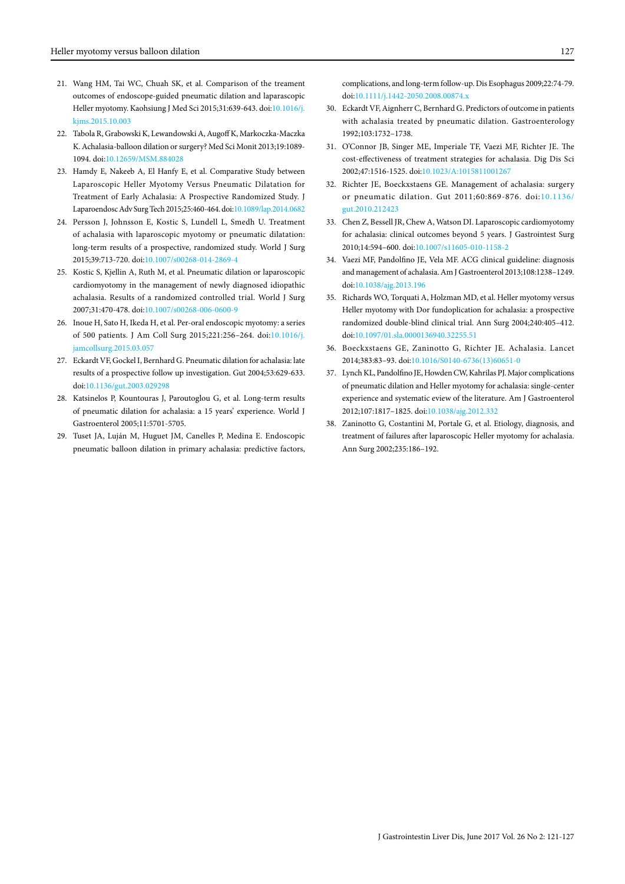- 21. Wang HM, Tai WC, Chuah SK, et al. Comparison of the treament outcomes of endoscope-guided pneumatic dilation and laparascopic Heller myotomy. Kaohsiung J Med Sci 2015;31:639-643. doi[:10.1016/j.](http://dx.doi.org/10.1016/j.kjms.2015.10.003) [kjms.2015.10.003](http://dx.doi.org/10.1016/j.kjms.2015.10.003)
- 22. Tabola R, Grabowski K, Lewandowski A, Augoff K, Markoczka-Maczka K. Achalasia-balloon dilation or surgery? Med Sci Monit 2013;19:1089- 1094. doi:[10.12659/MSM.884028](http://dx.doi.org/10.12659/MSM.884028)
- 23. Hamdy E, Nakeeb A, El Hanfy E, et al. Comparative Study between Laparoscopic Heller Myotomy Versus Pneumatic Dilatation for Treatment of Early Achalasia: A Prospective Randomized Study. J Laparoendosc Adv Surg Tech 2015;25:460-464. doi:[10.1089/lap.2014.0682](http://dx.doi.org/10.1089/lap.2014.0682)
- 24. Persson J, Johnsson E, Kostic S, Lundell L, Smedh U. Treatment of achalasia with laparoscopic myotomy or pneumatic dilatation: long-term results of a prospective, randomized study. World J Surg 2015;39:713-720. doi:[10.1007/s00268-014-2869-4](http://dx.doi.org/10.1007/s00268-014-2869-4)
- 25. Kostic S, Kjellin A, Ruth M, et al. Pneumatic dilation or laparoscopic cardiomyotomy in the management of newly diagnosed idiopathic achalasia. Results of a randomized controlled trial. World J Surg 2007;31:470-478. doi:[10.1007/s00268-006-0600-9](http://dx.doi.org/10.1007/s00268-006-0600-9)
- 26. Inoue H, Sato H, Ikeda H, et al. Per-oral endoscopic myotomy: a series of 500 patients. J Am Coll Surg 2015;221:256–264. doi:[10.1016/j.](http://dx.doi.org/10.1016/j.jamcollsurg.2015.03.057) [jamcollsurg.2015.03.057](http://dx.doi.org/10.1016/j.jamcollsurg.2015.03.057)
- 27. Eckardt VF, Gockel I, Bernhard G. Pneumatic dilation for achalasia: late results of a prospective follow up investigation. Gut 2004;53:629-633. doi:[10.1136/gut.2003.029298](http://dx.doi.org/10.1136/gut.2003.029298)
- 28. Katsinelos P, Kountouras J, Paroutoglou G, et al. Long-term results of pneumatic dilation for achalasia: a 15 years' experience. World J Gastroenterol 2005;11:5701-5705.
- 29. Tuset JA, Luján M, Huguet JM, Canelles P, Medina E. Endoscopic pneumatic balloon dilation in primary achalasia: predictive factors,

complications, and long-term follow-up. Dis Esophagus 2009;22:74-79. doi[:10.1111/j.1442-2050.2008.00874.x](http://dx.doi.org/10.1111/j.1442-2050.2008.00874.x)

- 30. Eckardt VF, Aignherr C, Bernhard G. Predictors of outcome in patients with achalasia treated by pneumatic dilation. Gastroenterology 1992;103:1732–1738.
- 31. O'Connor JB, Singer ME, Imperiale TF, Vaezi MF, Richter JE. The cost-effectiveness of treatment strategies for achalasia. Dig Dis Sci 2002;47:1516-1525. doi[:10.1023/A:1015811001267](http://dx.doi.org/10.1023/A:1015811001267)
- 32. Richter JE, Boeckxstaens GE. Management of achalasia: surgery or pneumatic dilation. Gut 2011;60:869-876. doi:[10.1136/](http://dx.doi.org/10.1136/gut.2010.212423) [gut.2010.212423](http://dx.doi.org/10.1136/gut.2010.212423)
- 33. Chen Z, Bessell JR, Chew A, Watson DI. Laparoscopic cardiomyotomy for achalasia: clinical outcomes beyond 5 years. J Gastrointest Surg 2010;14:594–600. doi:[10.1007/s11605-010-1158-2](http://dx.doi.org/10.1007/s11605-010-1158-2)
- 34. Vaezi MF, Pandolfino JE, Vela MF. ACG clinical guideline: diagnosis and management of achalasia. Am J Gastroenterol 2013;108:1238–1249. doi[:10.1038/ajg.2013.196](http://dx.doi.org/10.1038/ajg.2013.196)
- 35. Richards WO, Torquati A, Holzman MD, et al. Heller myotomy versus Heller myotomy with Dor fundoplication for achalasia: a prospective randomized double-blind clinical trial. Ann Surg 2004;240:405–412. doi[:10.1097/01.sla.0000136940.32255.51](http://dx.doi.org/10.1097/01.sla.0000136940.32255.51)
- 36. Boeckxstaens GE, Zaninotto G, Richter JE. Achalasia. Lancet 2014;383:83–93. doi:[10.1016/S0140-6736\(13\)60651-0](http://dx.doi.org/10.1016/S0140-6736(13)60651-0)
- 37. Lynch KL, Pandolfino JE, Howden CW, Kahrilas PJ. Major complications of pneumatic dilation and Heller myotomy for achalasia: single-center experience and systematic eview of the literature. Am J Gastroenterol 2012;107:1817–1825. doi[:10.1038/ajg.2012.332](http://dx.doi.org/10.1038/ajg.2012.332)
- 38. Zaninotto G, Costantini M, Portale G, et al. Etiology, diagnosis, and treatment of failures after laparoscopic Heller myotomy for achalasia. Ann Surg 2002;235:186–192.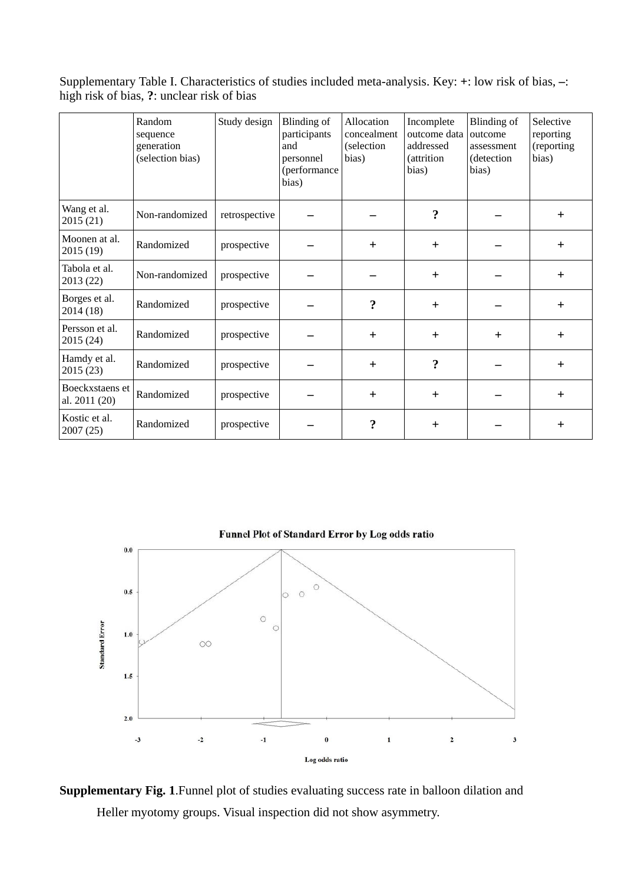Supplementary Table I. Characteristics of studies included meta-analysis. Key: **+**: low risk of bias, **–**: high risk of bias, **?**: unclear risk of bias

|                                  | Random<br>sequence<br>generation<br>(selection bias) | Study design  | Blinding of<br>participants<br>and<br>personnel<br>(performance<br>bias) | Allocation<br>concealment<br>(selection<br>bias) | Incomplete<br>outcome data<br>addressed<br><i>(attrition)</i><br>bias) | Blinding of<br>outcome<br>assessment<br>(detection<br>bias) | Selective<br>reporting<br>(reporting<br>bias) |
|----------------------------------|------------------------------------------------------|---------------|--------------------------------------------------------------------------|--------------------------------------------------|------------------------------------------------------------------------|-------------------------------------------------------------|-----------------------------------------------|
| Wang et al.<br>2015 (21)         | Non-randomized                                       | retrospective |                                                                          |                                                  | $\ddot{?}$                                                             |                                                             | $\pm$                                         |
| Moonen at al.<br>2015 (19)       | Randomized                                           | prospective   |                                                                          | $\pm$                                            | $\ddot{}$                                                              |                                                             | $\ddot{}$                                     |
| Tabola et al.<br>2013 (22)       | Non-randomized                                       | prospective   |                                                                          |                                                  | $+$                                                                    |                                                             | $+$                                           |
| Borges et al.<br>2014 (18)       | Randomized                                           | prospective   |                                                                          | $\ddot{\cdot}$                                   | $+$                                                                    |                                                             | $+$                                           |
| Persson et al.<br>2015 (24)      | Randomized                                           | prospective   |                                                                          | $+$                                              | $+$                                                                    | $+$                                                         | $+$                                           |
| Hamdy et al.<br>2015 (23)        | Randomized                                           | prospective   |                                                                          | $+$                                              | $\ddot{?}$                                                             |                                                             | $+$                                           |
| Boeckxstaens et<br>al. 2011 (20) | Randomized                                           | prospective   |                                                                          | $+$                                              | $+$                                                                    |                                                             | $+$                                           |
| Kostic et al.<br>2007 (25)       | Randomized                                           | prospective   |                                                                          | ?                                                | $+$                                                                    |                                                             | $+$                                           |



**Supplementary Fig. 1**.Funnel plot of studies evaluating success rate in balloon dilation and Heller myotomy groups. Visual inspection did not show asymmetry.

Funnel Plot of Standard Error by Log odds ratio